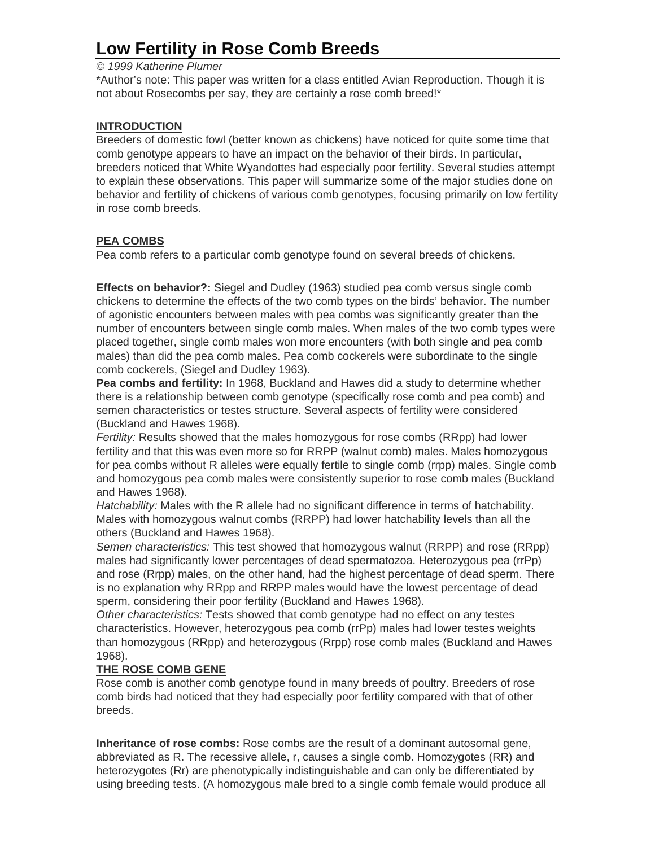# **Low Fertility in Rose Comb Breeds**

## *© 1999 Katherine Plumer*

\*Author's note: This paper was written for a class entitled Avian Reproduction. Though it is not about Rosecombs per say, they are certainly a rose comb breed!\*

#### **INTRODUCTION**

Breeders of domestic fowl (better known as chickens) have noticed for quite some time that comb genotype appears to have an impact on the behavior of their birds. In particular, breeders noticed that White Wyandottes had especially poor fertility. Several studies attempt to explain these observations. This paper will summarize some of the major studies done on behavior and fertility of chickens of various comb genotypes, focusing primarily on low fertility in rose comb breeds.

## **PEA COMBS**

Pea comb refers to a particular comb genotype found on several breeds of chickens.

**Effects on behavior?:** Siegel and Dudley (1963) studied pea comb versus single comb chickens to determine the effects of the two comb types on the birds' behavior. The number of agonistic encounters between males with pea combs was significantly greater than the number of encounters between single comb males. When males of the two comb types were placed together, single comb males won more encounters (with both single and pea comb males) than did the pea comb males. Pea comb cockerels were subordinate to the single comb cockerels, (Siegel and Dudley 1963).

**Pea combs and fertility:** In 1968, Buckland and Hawes did a study to determine whether there is a relationship between comb genotype (specifically rose comb and pea comb) and semen characteristics or testes structure. Several aspects of fertility were considered (Buckland and Hawes 1968).

*Fertility:* Results showed that the males homozygous for rose combs (RRpp) had lower fertility and that this was even more so for RRPP (walnut comb) males. Males homozygous for pea combs without R alleles were equally fertile to single comb (rrpp) males. Single comb and homozygous pea comb males were consistently superior to rose comb males (Buckland and Hawes 1968).

*Hatchability:* Males with the R allele had no significant difference in terms of hatchability. Males with homozygous walnut combs (RRPP) had lower hatchability levels than all the others (Buckland and Hawes 1968).

*Semen characteristics:* This test showed that homozygous walnut (RRPP) and rose (RRpp) males had significantly lower percentages of dead spermatozoa. Heterozygous pea (rrPp) and rose (Rrpp) males, on the other hand, had the highest percentage of dead sperm. There is no explanation why RRpp and RRPP males would have the lowest percentage of dead sperm, considering their poor fertility (Buckland and Hawes 1968).

*Other characteristics:* Tests showed that comb genotype had no effect on any testes characteristics. However, heterozygous pea comb (rrPp) males had lower testes weights than homozygous (RRpp) and heterozygous (Rrpp) rose comb males (Buckland and Hawes 1968).

#### **THE ROSE COMB GENE**

Rose comb is another comb genotype found in many breeds of poultry. Breeders of rose comb birds had noticed that they had especially poor fertility compared with that of other breeds.

**Inheritance of rose combs:** Rose combs are the result of a dominant autosomal gene, abbreviated as R. The recessive allele, r, causes a single comb. Homozygotes (RR) and heterozygotes (Rr) are phenotypically indistinguishable and can only be differentiated by using breeding tests. (A homozygous male bred to a single comb female would produce all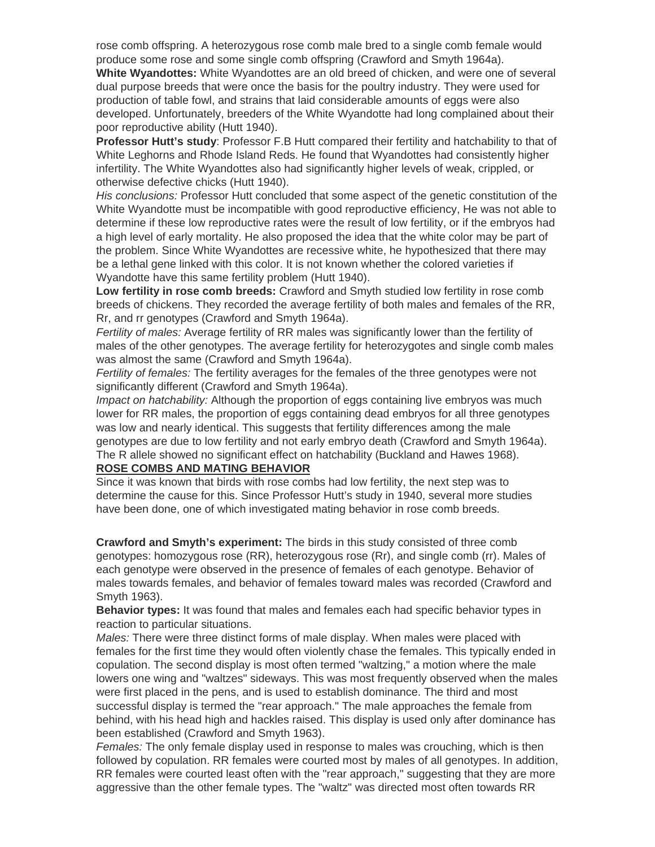rose comb offspring. A heterozygous rose comb male bred to a single comb female would produce some rose and some single comb offspring (Crawford and Smyth 1964a).

**White Wyandottes:** White Wyandottes are an old breed of chicken, and were one of several dual purpose breeds that were once the basis for the poultry industry. They were used for production of table fowl, and strains that laid considerable amounts of eggs were also developed. Unfortunately, breeders of the White Wyandotte had long complained about their poor reproductive ability (Hutt 1940).

**Professor Hutt's study**: Professor F.B Hutt compared their fertility and hatchability to that of White Leghorns and Rhode Island Reds. He found that Wyandottes had consistently higher infertility. The White Wyandottes also had significantly higher levels of weak, crippled, or otherwise defective chicks (Hutt 1940).

*His conclusions:* Professor Hutt concluded that some aspect of the genetic constitution of the White Wyandotte must be incompatible with good reproductive efficiency, He was not able to determine if these low reproductive rates were the result of low fertility, or if the embryos had a high level of early mortality. He also proposed the idea that the white color may be part of the problem. Since White Wyandottes are recessive white, he hypothesized that there may be a lethal gene linked with this color. It is not known whether the colored varieties if Wyandotte have this same fertility problem (Hutt 1940).

**Low fertility in rose comb breeds:** Crawford and Smyth studied low fertility in rose comb breeds of chickens. They recorded the average fertility of both males and females of the RR, Rr, and rr genotypes (Crawford and Smyth 1964a).

*Fertility of males:* Average fertility of RR males was significantly lower than the fertility of males of the other genotypes. The average fertility for heterozygotes and single comb males was almost the same (Crawford and Smyth 1964a).

*Fertility of females:* The fertility averages for the females of the three genotypes were not significantly different (Crawford and Smyth 1964a).

*Impact on hatchability:* Although the proportion of eggs containing live embryos was much lower for RR males, the proportion of eggs containing dead embryos for all three genotypes was low and nearly identical. This suggests that fertility differences among the male genotypes are due to low fertility and not early embryo death (Crawford and Smyth 1964a). The R allele showed no significant effect on hatchability (Buckland and Hawes 1968).

#### **ROSE COMBS AND MATING BEHAVIOR**

Since it was known that birds with rose combs had low fertility, the next step was to determine the cause for this. Since Professor Hutt's study in 1940, several more studies have been done, one of which investigated mating behavior in rose comb breeds.

**Crawford and Smyth's experiment:** The birds in this study consisted of three comb genotypes: homozygous rose (RR), heterozygous rose (Rr), and single comb (rr). Males of each genotype were observed in the presence of females of each genotype. Behavior of males towards females, and behavior of females toward males was recorded (Crawford and Smyth 1963).

**Behavior types:** It was found that males and females each had specific behavior types in reaction to particular situations.

*Males:* There were three distinct forms of male display. When males were placed with females for the first time they would often violently chase the females. This typically ended in copulation. The second display is most often termed "waltzing," a motion where the male lowers one wing and "waltzes" sideways. This was most frequently observed when the males were first placed in the pens, and is used to establish dominance. The third and most successful display is termed the "rear approach." The male approaches the female from behind, with his head high and hackles raised. This display is used only after dominance has been established (Crawford and Smyth 1963).

*Females:* The only female display used in response to males was crouching, which is then followed by copulation. RR females were courted most by males of all genotypes. In addition, RR females were courted least often with the "rear approach," suggesting that they are more aggressive than the other female types. The "waltz" was directed most often towards RR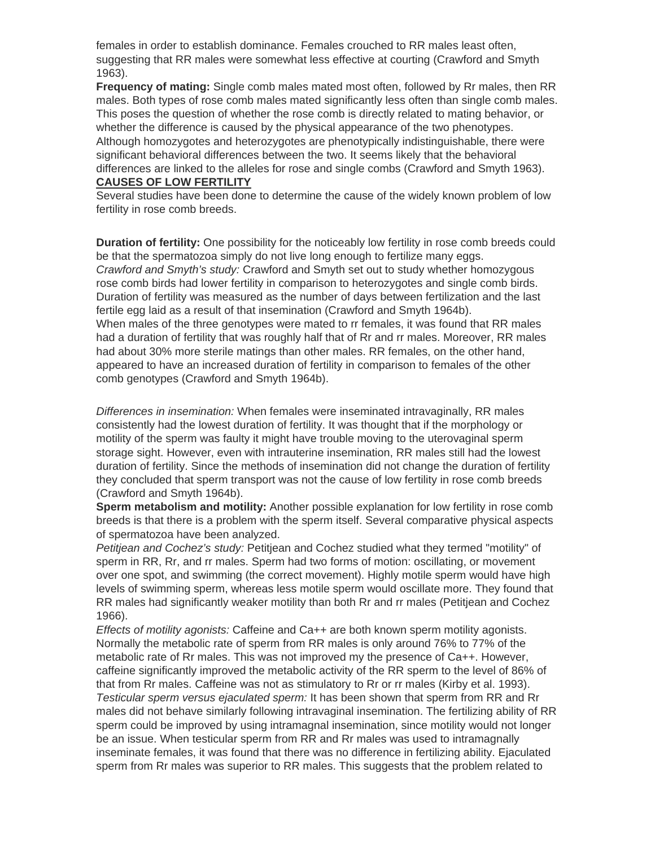females in order to establish dominance. Females crouched to RR males least often, suggesting that RR males were somewhat less effective at courting (Crawford and Smyth 1963).

**Frequency of mating:** Single comb males mated most often, followed by Rr males, then RR males. Both types of rose comb males mated significantly less often than single comb males. This poses the question of whether the rose comb is directly related to mating behavior, or whether the difference is caused by the physical appearance of the two phenotypes. Although homozygotes and heterozygotes are phenotypically indistinguishable, there were significant behavioral differences between the two. It seems likely that the behavioral differences are linked to the alleles for rose and single combs (Crawford and Smyth 1963). **CAUSES OF LOW FERTILITY**

Several studies have been done to determine the cause of the widely known problem of low fertility in rose comb breeds.

**Duration of fertility:** One possibility for the noticeably low fertility in rose comb breeds could be that the spermatozoa simply do not live long enough to fertilize many eggs. *Crawford and Smyth's study:* Crawford and Smyth set out to study whether homozygous rose comb birds had lower fertility in comparison to heterozygotes and single comb birds. Duration of fertility was measured as the number of days between fertilization and the last fertile egg laid as a result of that insemination (Crawford and Smyth 1964b). When males of the three genotypes were mated to rr females, it was found that RR males had a duration of fertility that was roughly half that of Rr and rr males. Moreover, RR males had about 30% more sterile matings than other males. RR females, on the other hand, appeared to have an increased duration of fertility in comparison to females of the other comb genotypes (Crawford and Smyth 1964b).

*Differences in insemination:* When females were inseminated intravaginally, RR males consistently had the lowest duration of fertility. It was thought that if the morphology or motility of the sperm was faulty it might have trouble moving to the uterovaginal sperm storage sight. However, even with intrauterine insemination, RR males still had the lowest duration of fertility. Since the methods of insemination did not change the duration of fertility they concluded that sperm transport was not the cause of low fertility in rose comb breeds (Crawford and Smyth 1964b).

**Sperm metabolism and motility:** Another possible explanation for low fertility in rose comb breeds is that there is a problem with the sperm itself. Several comparative physical aspects of spermatozoa have been analyzed.

*Petitjean and Cochez's study:* Petitjean and Cochez studied what they termed "motility" of sperm in RR, Rr, and rr males. Sperm had two forms of motion: oscillating, or movement over one spot, and swimming (the correct movement). Highly motile sperm would have high levels of swimming sperm, whereas less motile sperm would oscillate more. They found that RR males had significantly weaker motility than both Rr and rr males (Petitjean and Cochez 1966).

*Effects of motility agonists:* Caffeine and Ca++ are both known sperm motility agonists. Normally the metabolic rate of sperm from RR males is only around 76% to 77% of the metabolic rate of Rr males. This was not improved my the presence of Ca++. However, caffeine significantly improved the metabolic activity of the RR sperm to the level of 86% of that from Rr males. Caffeine was not as stimulatory to Rr or rr males (Kirby et al. 1993). *Testicular sperm versus ejaculated sperm:* It has been shown that sperm from RR and Rr males did not behave similarly following intravaginal insemination. The fertilizing ability of RR sperm could be improved by using intramagnal insemination, since motility would not longer be an issue. When testicular sperm from RR and Rr males was used to intramagnally inseminate females, it was found that there was no difference in fertilizing ability. Ejaculated sperm from Rr males was superior to RR males. This suggests that the problem related to